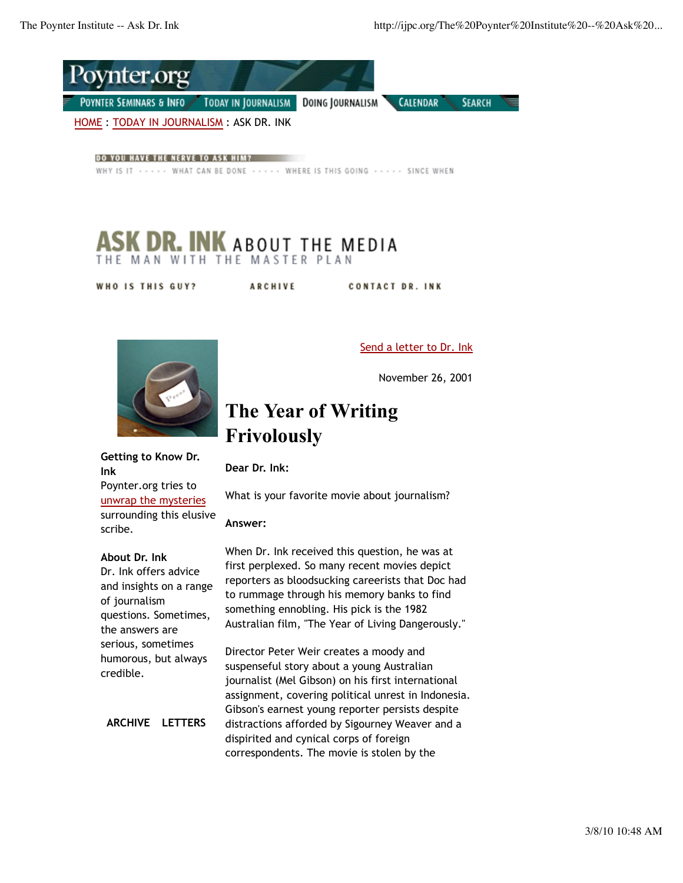

DO YOU HAVE THE NERVE TO ASK HIM?

WHY IS IT . . . . . WHAT CAN BE DONE . . . . . WHERE IS THIS GOING . . . . . SINCE WHEN

## **DR. INK** ABOUT THE MEDIA THE MAN WITH THE MASTER PLAN

WHO IS THIS GUY? **ARCHIVE CONTACT DR. INK** 



### Send a letter to Dr. Ink

November 26, 2001

# **The Year of Writing Frivolously**

**Getting to Know Dr. Ink**

Poynter.org tries to unwrap the mysteries surrounding this elusive scribe.

#### **About Dr. Ink**

Dr. Ink offers advice and insights on a range of journalism questions. Sometimes, the answers are serious, sometimes humorous, but always credible.

**ARCHIVE LETTERS**

What is your favorite movie about journalism?

### **Answer:**

**Dear Dr. Ink:**

When Dr. Ink received this question, he was at first perplexed. So many recent movies depict reporters as bloodsucking careerists that Doc had to rummage through his memory banks to find something ennobling. His pick is the 1982 Australian film, "The Year of Living Dangerously."

Director Peter Weir creates a moody and suspenseful story about a young Australian journalist (Mel Gibson) on his first international assignment, covering political unrest in Indonesia. Gibson's earnest young reporter persists despite distractions afforded by Sigourney Weaver and a dispirited and cynical corps of foreign correspondents. The movie is stolen by the